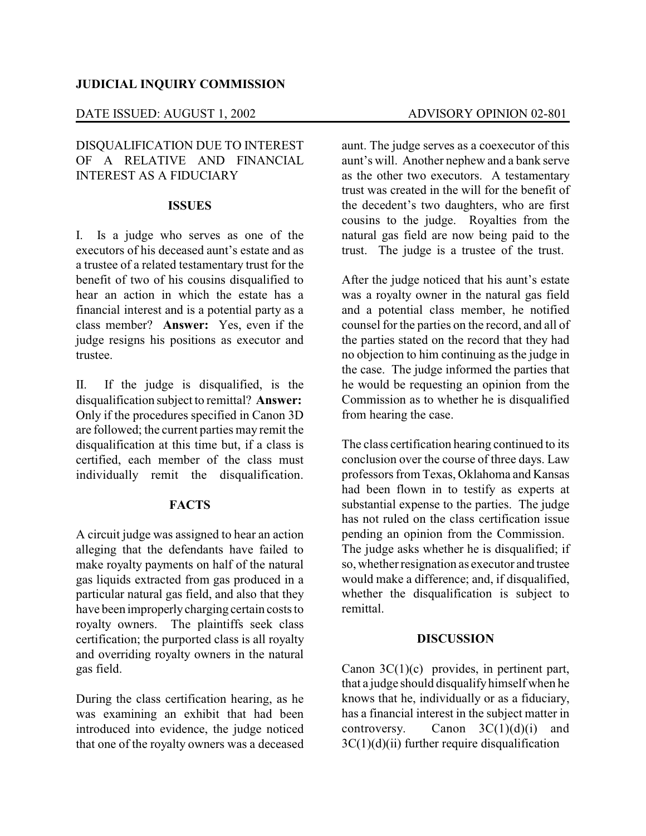### **JUDICIAL INQUIRY COMMISSION**

### DATE ISSUED: AUGUST 1, 2002 ADVISORY OPINION 02-801

# DISQUALIFICATION DUE TO INTEREST OF A RELATIVE AND FINANCIAL INTEREST AS A FIDUCIARY

#### **ISSUES**

I. Is a judge who serves as one of the executors of his deceased aunt's estate and as a trustee of a related testamentary trust for the benefit of two of his cousins disqualified to hear an action in which the estate has a financial interest and is a potential party as a class member? **Answer:** Yes, even if the judge resigns his positions as executor and trustee.

II. If the judge is disqualified, is the disqualification subject to remittal? **Answer:** Only if the procedures specified in Canon 3D are followed; the current parties may remit the disqualification at this time but, if a class is certified, each member of the class must individually remit the disqualification.

## **FACTS**

A circuit judge was assigned to hear an action alleging that the defendants have failed to make royalty payments on half of the natural gas liquids extracted from gas produced in a particular natural gas field, and also that they have been improperlycharging certain costs to royalty owners. The plaintiffs seek class certification; the purported class is all royalty and overriding royalty owners in the natural gas field.

During the class certification hearing, as he was examining an exhibit that had been introduced into evidence, the judge noticed that one of the royalty owners was a deceased aunt. The judge serves as a coexecutor of this aunt's will. Another nephew and a bank serve as the other two executors. A testamentary trust was created in the will for the benefit of the decedent's two daughters, who are first cousins to the judge. Royalties from the natural gas field are now being paid to the trust. The judge is a trustee of the trust.

After the judge noticed that his aunt's estate was a royalty owner in the natural gas field and a potential class member, he notified counsel for the parties on the record, and all of the parties stated on the record that they had no objection to him continuing as the judge in the case. The judge informed the parties that he would be requesting an opinion from the Commission as to whether he is disqualified from hearing the case.

The class certification hearing continued to its conclusion over the course of three days. Law professors from Texas, Oklahoma and Kansas had been flown in to testify as experts at substantial expense to the parties. The judge has not ruled on the class certification issue pending an opinion from the Commission. The judge asks whether he is disqualified; if so, whether resignation as executor and trustee would make a difference; and, if disqualified, whether the disqualification is subject to remittal.

#### **DISCUSSION**

Canon 3C(1)(c) provides, in pertinent part, that a judge should disqualify himself when he knows that he, individually or as a fiduciary, has a financial interest in the subject matter in controversy. Canon  $3C(1)(d)(i)$  and  $3C(1)(d)(ii)$  further require disqualification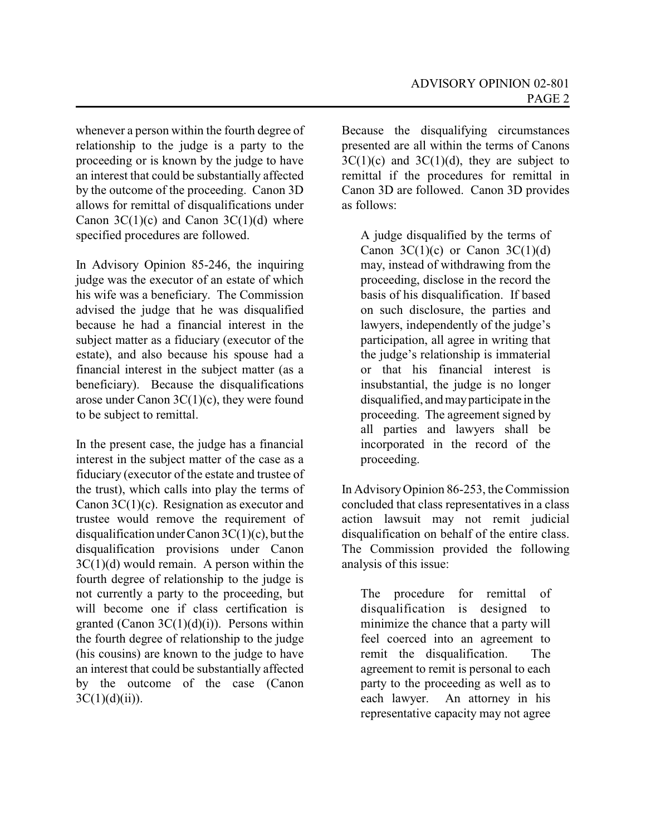whenever a person within the fourth degree of relationship to the judge is a party to the proceeding or is known by the judge to have an interest that could be substantially affected by the outcome of the proceeding. Canon 3D allows for remittal of disqualifications under Canon  $3C(1)(c)$  and Canon  $3C(1)(d)$  where specified procedures are followed.

In Advisory Opinion 85-246, the inquiring judge was the executor of an estate of which his wife was a beneficiary. The Commission advised the judge that he was disqualified because he had a financial interest in the subject matter as a fiduciary (executor of the estate), and also because his spouse had a financial interest in the subject matter (as a beneficiary). Because the disqualifications arose under Canon  $3C(1)(c)$ , they were found to be subject to remittal.

In the present case, the judge has a financial interest in the subject matter of the case as a fiduciary (executor of the estate and trustee of the trust), which calls into play the terms of Canon 3C(1)(c). Resignation as executor and trustee would remove the requirement of disqualification under Canon  $3C(1)(c)$ , but the disqualification provisions under Canon 3C(1)(d) would remain. A person within the fourth degree of relationship to the judge is not currently a party to the proceeding, but will become one if class certification is granted (Canon  $3C(1)(d)(i)$ ). Persons within the fourth degree of relationship to the judge (his cousins) are known to the judge to have an interest that could be substantially affected by the outcome of the case (Canon  $3C(1)(d)(ii)$ ).

Because the disqualifying circumstances presented are all within the terms of Canons  $3C(1)(c)$  and  $3C(1)(d)$ , they are subject to remittal if the procedures for remittal in Canon 3D are followed. Canon 3D provides as follows:

A judge disqualified by the terms of Canon  $3C(1)(c)$  or Canon  $3C(1)(d)$ may, instead of withdrawing from the proceeding, disclose in the record the basis of his disqualification. If based on such disclosure, the parties and lawyers, independently of the judge's participation, all agree in writing that the judge's relationship is immaterial or that his financial interest is insubstantial, the judge is no longer disqualified, and mayparticipate in the proceeding. The agreement signed by all parties and lawyers shall be incorporated in the record of the proceeding.

In AdvisoryOpinion 86-253, the Commission concluded that class representatives in a class action lawsuit may not remit judicial disqualification on behalf of the entire class. The Commission provided the following analysis of this issue:

The procedure for remittal of disqualification is designed to minimize the chance that a party will feel coerced into an agreement to remit the disqualification. The agreement to remit is personal to each party to the proceeding as well as to each lawyer. An attorney in his representative capacity may not agree